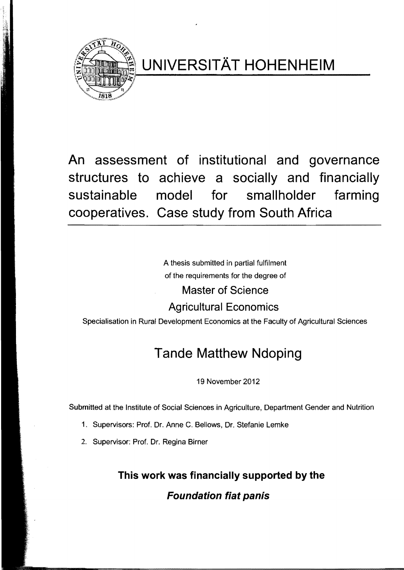

**UNIVERSITÄT HOHENHEIM** 

**An assessment of institutional and governance structures to achieve a socially and financially sustainable model for smallholder farming cooperatives. Case study from South Africa** 

> A thesis submitted in partial fulfilment of the requirements for the degree of

> > **Master of Science**

**Agricultural Economics** 

Specialisation in Rural Development Economics at the Faculty of Agricultural Sciences

# **Tande Matthew Ndoping**

19 November 2012

Submitted at the Institute of Social Sciences in Agriculture, Department Gender and Nutrition

- 1. Supervisors: Prof. Dr. Anne C. Bellows, Dr. Stefanie Lemke
- 2. Supervisor: Prof. Dr. Regina Birner

**This work was financially supported by the** 

**Foundation fiat panis**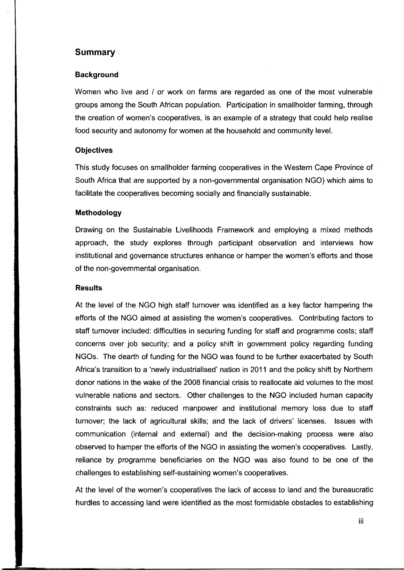## **Summary ..**

## **Background**

Women who live and / or work on farms are regarded as one of the most vulnerable groups among the South African population. Participation in smallholder farming, through the creation of women's cooperatives, is an example of a strategy that could help realise food security and autonomy for women at the household and community level.

#### **Objectives**

This study focuses on smallholder farming cooperatives in the Westem Cape Province of South Africa that are supported by a non-governmental organisation NGO) which aims to facilitate the cooperatives becoming socially and financially sustainable.

## **Methodology**

Drawing on the Sustainable Livelihoods Framework and employing a mixed methods approach, the study explores through participant observation and interviews how institutional and govemance structures enhance or hamper the women's eftorts and those of the non-govemmental organisation.

#### **Results**

At the level of the NGO high staft tumover was identified as a key factor hampering the eftorts of the NGO aimed at assisting the women's cooperatives. Contributing factors to staft turnover included: difticulties in securing funding for staft and programme costs; staft concerns over job security; and a policy shift in government policy regarding funding NGOs. The dearth of funding for the NGO was found to be further exacerbated by South Africa's transition to a 'newly industrialised' nation in 2011 and the policy shift by Northern donor nations in the wake of the 2008 financial crisis to reallocate aid volumes to the most vulnerable nations and sectors. Other challenges to the NGO included human capacity constraints such as: reduced manpower and institutional memory loss due to staft turnover; the lack of agricultural skills; and the lack of drivers' licenses. Issues with communication (internal and external) and the decision-making process were also observed to hamper the eftorts of the NGO in assisting the women's cooperatives. Lastly, reliance by programme beneficiaries on the NGO was also found to be one of the challenges to establishing self-sustaining women's cooperatives.

At the level of the women's cooperatives the lack of access to land and the bureaucratic hurdles to accessing land were identified as the most formidable obstacles to establishing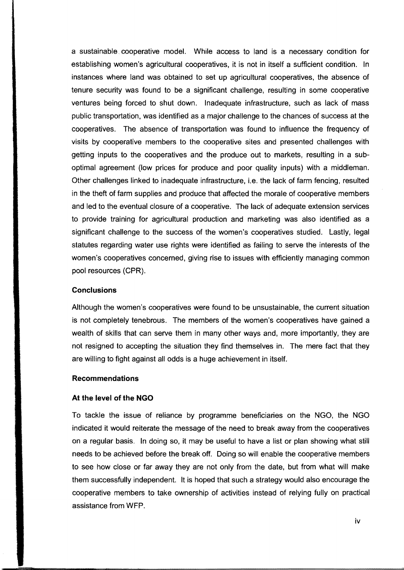a sustainable. cooperative model. While access to land is a necessary condition for establishing women's agricultural cooperatives, it is not in itself a sufficient condition. In instances where land was obtained to set up agricultural cooperatives, the absence of tenure security was found to be a significant challenge, resulting in some cooperative ventures being forced to shut down. Inadequate infrastructure, such as lack of mass public transportation, was identified as a major challenge to the chances of success at the cooperatives. The absence of transportation was found to influence the frequency of visits by cooperative members to the cooperative sites and presented challenges with getting inputs to the cooperatives and the produce out to markets, resulting in a suboptimal agreement (low prices for produce and poor quality inputs) with a middleman. Other challenges linked to inadequate infrastructure, i.e. the lack of farm fencing, resulted in the theft of farm supplies and produce that affected the morale of cooperative members and led to the eventual elosure of a cooperative. The lack of adequate extension services to provide training for agricultural production and marketing was also identified as a significant challenge to the success of the women's cooperatives studied. Lastly, legal statutes regarding water use rights were identified as failing to serve the interests of the women's cooperatives concerned, giving rise to issues with efficiently managing common pool resources (CPR).

#### **Conclusions**

Although the women's cooperatives were found to be unsustainable, the current situation is not completely tenebrous. The members of the women's cooperatives have gained a wealth of skills that can serve them in many other ways and, more importantly, they are not resigned to accepting the situation they find themselves in. The mere fact that they are willing to fight against all odds is a huge achievement in itself.

#### **Recommendations**

#### **At the level of the NGO**

To tackle the issue of reliance by programme beneficiaries on the NGO, the NGO indicated it would reiterate the message of the need to break away from the cooperatives on a regular basis. In doing so, it may be useful to have a list or plan showing what still needs to be achieved before the break off. Doing so will enable the cooperative members to see how elose or far away they are not only from the date, but from what will make them successfully independent. It is hoped that such a strategy would also encourage the cooperative members to take ownership of activities instead of relying fully on practical assistance from WFP.